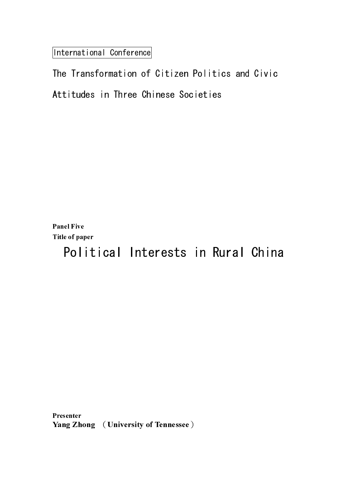International Conference

Panel Five Title of paper

Presenter Presenter<br>V Yang Zhong (University of Tennessee)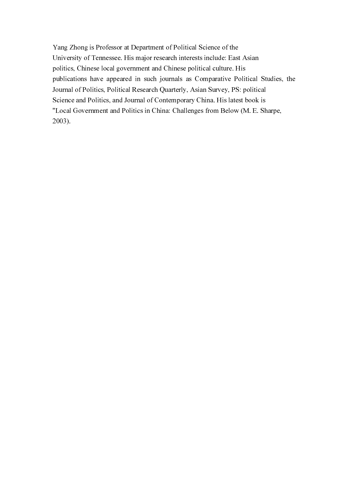Yang Zhong is Professor at Department of Political Science of the University of Tennessee. His major research interests include: East Asian politics, Chinese local government and Chinese political culture. His publications have appeared in such journals as Comparative Political Studies, the Journal of Politics, Political Research Quarterly, Asian Survey, PS: political Science and Politics, and Journal of Contemporary China. His latest book is "Local Government and Politics in China: Challenges from Below (M. E. Sharpe, 2003).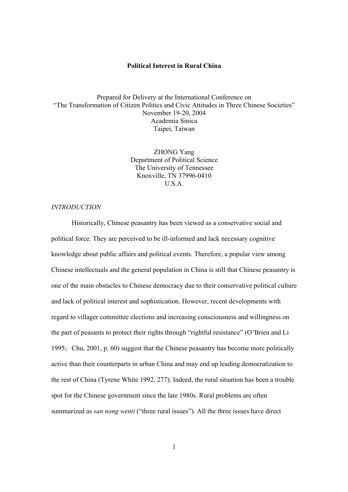## **Political Interest in Rural China**

Prepared for Delivery at the International Conference on "The Transformation of Citizen Politics and Civic Attitudes in Three Chinese Societies" November 19-20, 2004 Academia Sinica Taipei, Taiwan

> ZHONG Yang Department of Political Science The University of Tennessee Knoxville, TN 37996-0410 U.S.A.

### *INTRODUCTION*

 Historically, Chinese peasantry has been viewed as a conservative social and political force. They are perceived to be ill-informed and lack necessary cognitive knowledge about public affairs and political events. Therefore, a popular view among Chinese intellectuals and the general population in China is still that Chinese peasantry is one of the main obstacles to Chinese democracy due to their conservative political culture and lack of political interest and sophistication. However, recent developments with regard to villager committee elections and increasing consciousness and willingness on the part of peasants to protect their rights through "rightful resistance" (O'Brien and Li 1995; Chu, 2001, p. 60) suggest that the Chinese peasantry has become more politically active than their counterparts in urban China and may end up leading democratization to the rest of China (Tyrene White 1992, 277). Indeed, the rural situation has been a trouble spot for the Chinese government since the late 1980s. Rural problems are often summarized as *san nong wenti* ("three rural issues"). All the three issues have direct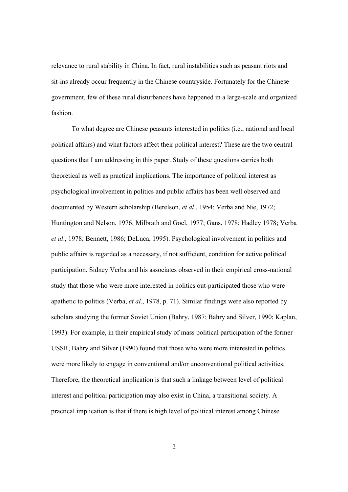relevance to rural stability in China. In fact, rural instabilities such as peasant riots and sit-ins already occur frequently in the Chinese countryside. Fortunately for the Chinese government, few of these rural disturbances have happened in a large-scale and organized fashion.

 To what degree are Chinese peasants interested in politics (i.e., national and local political affairs) and what factors affect their political interest? These are the two central questions that I am addressing in this paper. Study of these questions carries both theoretical as well as practical implications. The importance of political interest as psychological involvement in politics and public affairs has been well observed and documented by Western scholarship (Berelson, *et al*., 1954; Verba and Nie, 1972; Huntington and Nelson, 1976; Milbrath and Goel, 1977; Gans, 1978; Hadley 1978; Verba *et al*., 1978; Bennett, 1986; DeLuca, 1995). Psychological involvement in politics and public affairs is regarded as a necessary, if not sufficient, condition for active political participation. Sidney Verba and his associates observed in their empirical cross-national study that those who were more interested in politics out-participated those who were apathetic to politics (Verba, *et al*., 1978, p. 71). Similar findings were also reported by scholars studying the former Soviet Union (Bahry, 1987; Bahry and Silver, 1990; Kaplan, 1993). For example, in their empirical study of mass political participation of the former USSR, Bahry and Silver (1990) found that those who were more interested in politics were more likely to engage in conventional and/or unconventional political activities. Therefore, the theoretical implication is that such a linkage between level of political interest and political participation may also exist in China, a transitional society. A practical implication is that if there is high level of political interest among Chinese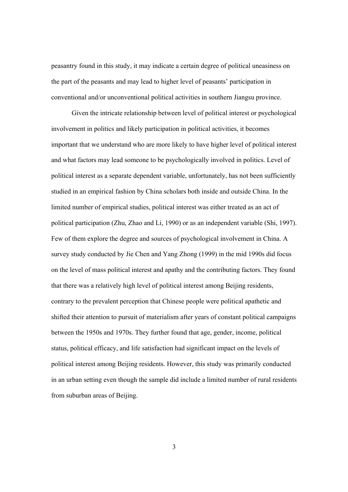peasantry found in this study, it may indicate a certain degree of political uneasiness on the part of the peasants and may lead to higher level of peasants' participation in conventional and/or unconventional political activities in southern Jiangsu province.

 Given the intricate relationship between level of political interest or psychological involvement in politics and likely participation in political activities, it becomes important that we understand who are more likely to have higher level of political interest and what factors may lead someone to be psychologically involved in politics. Level of political interest as a separate dependent variable, unfortunately, has not been sufficiently studied in an empirical fashion by China scholars both inside and outside China. In the limited number of empirical studies, political interest was either treated as an act of political participation (Zhu, Zhao and Li, 1990) or as an independent variable (Shi, 1997). Few of them explore the degree and sources of psychological involvement in China. A survey study conducted by Jie Chen and Yang Zhong (1999) in the mid 1990s did focus on the level of mass political interest and apathy and the contributing factors. They found that there was a relatively high level of political interest among Beijing residents, contrary to the prevalent perception that Chinese people were political apathetic and shifted their attention to pursuit of materialism after years of constant political campaigns between the 1950s and 1970s. They further found that age, gender, income, political status, political efficacy, and life satisfaction had significant impact on the levels of political interest among Beijing residents. However, this study was primarily conducted in an urban setting even though the sample did include a limited number of rural residents from suburban areas of Beijing.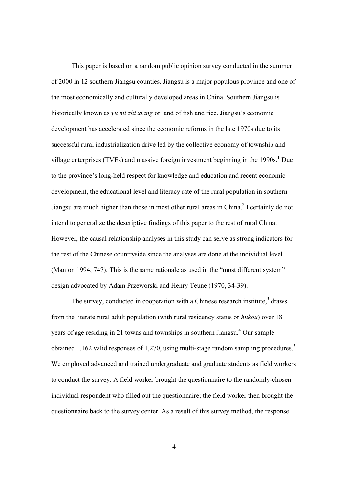This paper is based on a random public opinion survey conducted in the summer of 2000 in 12 southern Jiangsu counties. Jiangsu is a major populous province and one of the most economically and culturally developed areas in China. Southern Jiangsu is historically known as *yu mi zhi xiang* or land of fish and rice. Jiangsu's economic development has accelerated since the economic reforms in the late 1970s due to its successful rural industrialization drive led by the collective economy of township and village enterprises (TVEs) and massive foreign investment beginning in the  $1990s$ .<sup>1</sup> Due to the province's long-held respect for knowledge and education and recent economic development, the educational level and literacy rate of the rural population in southern Jiangsu are much higher than those in most other rural areas in China.<sup>2</sup> I certainly do not intend to generalize the descriptive findings of this paper to the rest of rural China. However, the causal relationship analyses in this study can serve as strong indicators for the rest of the Chinese countryside since the analyses are done at the individual level (Manion 1994, 747). This is the same rationale as used in the "most different system" design advocated by Adam Przeworski and Henry Teune (1970, 34-39).

The survey, conducted in cooperation with a Chinese research institute, $3$  draws from the literate rural adult population (with rural residency status or *hukou*) over 18 years of age residing in 21 towns and townships in southern Jiangsu.<sup>4</sup> Our sample obtained 1,162 valid responses of 1,270, using multi-stage random sampling procedures.<sup>5</sup> We employed advanced and trained undergraduate and graduate students as field workers to conduct the survey. A field worker brought the questionnaire to the randomly-chosen individual respondent who filled out the questionnaire; the field worker then brought the questionnaire back to the survey center. As a result of this survey method, the response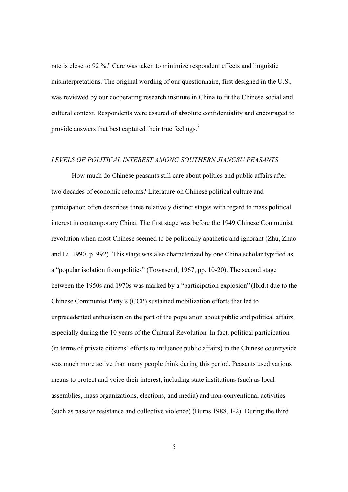rate is close to 92 %. $6$  Care was taken to minimize respondent effects and linguistic misinterpretations. The original wording of our questionnaire, first designed in the U.S., was reviewed by our cooperating research institute in China to fit the Chinese social and cultural context. Respondents were assured of absolute confidentiality and encouraged to provide answers that best captured their true feelings.<sup>7</sup>

# *LEVELS OF POLITICAL INTEREST AMONG SOUTHERN JIANGSU PEASANTS*

 How much do Chinese peasants still care about politics and public affairs after two decades of economic reforms? Literature on Chinese political culture and participation often describes three relatively distinct stages with regard to mass political interest in contemporary China. The first stage was before the 1949 Chinese Communist revolution when most Chinese seemed to be politically apathetic and ignorant (Zhu, Zhao and Li, 1990, p. 992). This stage was also characterized by one China scholar typified as a "popular isolation from politics" (Townsend, 1967, pp. 10-20). The second stage between the 1950s and 1970s was marked by a "participation explosion" (Ibid.) due to the Chinese Communist Party's (CCP) sustained mobilization efforts that led to unprecedented enthusiasm on the part of the population about public and political affairs, especially during the 10 years of the Cultural Revolution. In fact, political participation (in terms of private citizens' efforts to influence public affairs) in the Chinese countryside was much more active than many people think during this period. Peasants used various means to protect and voice their interest, including state institutions (such as local assemblies, mass organizations, elections, and media) and non-conventional activities (such as passive resistance and collective violence) (Burns 1988, 1-2). During the third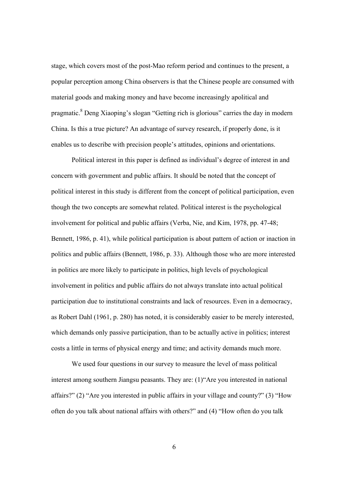stage, which covers most of the post-Mao reform period and continues to the present, a popular perception among China observers is that the Chinese people are consumed with material goods and making money and have become increasingly apolitical and pragmatic.<sup>8</sup> Deng Xiaoping's slogan "Getting rich is glorious" carries the day in modern China. Is this a true picture? An advantage of survey research, if properly done, is it enables us to describe with precision people's attitudes, opinions and orientations.

Political interest in this paper is defined as individual's degree of interest in and concern with government and public affairs. It should be noted that the concept of political interest in this study is different from the concept of political participation, even though the two concepts are somewhat related. Political interest is the psychological involvement for political and public affairs (Verba, Nie, and Kim, 1978, pp. 47-48; Bennett, 1986, p. 41), while political participation is about pattern of action or inaction in politics and public affairs (Bennett, 1986, p. 33). Although those who are more interested in politics are more likely to participate in politics, high levels of psychological involvement in politics and public affairs do not always translate into actual political participation due to institutional constraints and lack of resources. Even in a democracy, as Robert Dahl (1961, p. 280) has noted, it is considerably easier to be merely interested, which demands only passive participation, than to be actually active in politics; interest costs a little in terms of physical energy and time; and activity demands much more.

We used four questions in our survey to measure the level of mass political interest among southern Jiangsu peasants. They are: (1)"Are you interested in national affairs?" (2) "Are you interested in public affairs in your village and county?" (3) "How often do you talk about national affairs with others?" and (4) "How often do you talk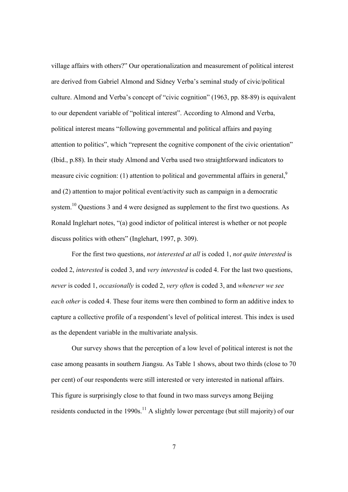village affairs with others?" Our operationalization and measurement of political interest are derived from Gabriel Almond and Sidney Verba's seminal study of civic/political culture. Almond and Verba's concept of "civic cognition" (1963, pp. 88-89) is equivalent to our dependent variable of "political interest". According to Almond and Verba, political interest means "following governmental and political affairs and paying attention to politics", which "represent the cognitive component of the civic orientation" (Ibid., p.88). In their study Almond and Verba used two straightforward indicators to measure civic cognition: (1) attention to political and governmental affairs in general,<sup>9</sup> and (2) attention to major political event/activity such as campaign in a democratic system.<sup>10</sup> Questions 3 and 4 were designed as supplement to the first two questions. As Ronald Inglehart notes, "(a) good indictor of political interest is whether or not people discuss politics with others" (Inglehart, 1997, p. 309).

For the first two questions, *not interested at all* is coded 1, *not quite interested* is coded 2, *interested* is coded 3, and *very interested* is coded 4. For the last two questions, *never* is coded 1, *occasionally* is coded 2, *very often* is coded 3, and *whenever we see each other* is coded 4. These four items were then combined to form an additive index to capture a collective profile of a respondent's level of political interest. This index is used as the dependent variable in the multivariate analysis.

Our survey shows that the perception of a low level of political interest is not the case among peasants in southern Jiangsu. As Table 1 shows, about two thirds (close to 70 per cent) of our respondents were still interested or very interested in national affairs. This figure is surprisingly close to that found in two mass surveys among Beijing residents conducted in the 1990s.<sup>11</sup> A slightly lower percentage (but still majority) of our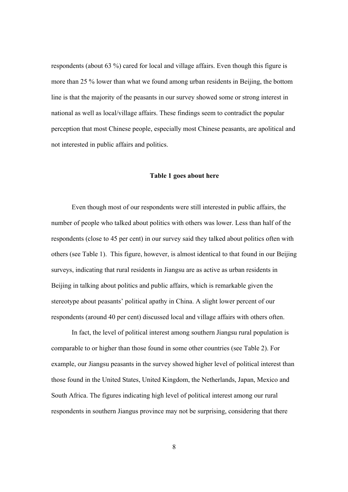respondents (about 63 %) cared for local and village affairs. Even though this figure is more than 25 % lower than what we found among urban residents in Beijing, the bottom line is that the majority of the peasants in our survey showed some or strong interest in national as well as local/village affairs. These findings seem to contradict the popular perception that most Chinese people, especially most Chinese peasants, are apolitical and not interested in public affairs and politics.

#### **Table 1 goes about here**

 Even though most of our respondents were still interested in public affairs, the number of people who talked about politics with others was lower. Less than half of the respondents (close to 45 per cent) in our survey said they talked about politics often with others (see Table 1). This figure, however, is almost identical to that found in our Beijing surveys, indicating that rural residents in Jiangsu are as active as urban residents in Beijing in talking about politics and public affairs, which is remarkable given the stereotype about peasants' political apathy in China. A slight lower percent of our respondents (around 40 per cent) discussed local and village affairs with others often.

In fact, the level of political interest among southern Jiangsu rural population is comparable to or higher than those found in some other countries (see Table 2). For example, our Jiangsu peasants in the survey showed higher level of political interest than those found in the United States, United Kingdom, the Netherlands, Japan, Mexico and South Africa. The figures indicating high level of political interest among our rural respondents in southern Jiangus province may not be surprising, considering that there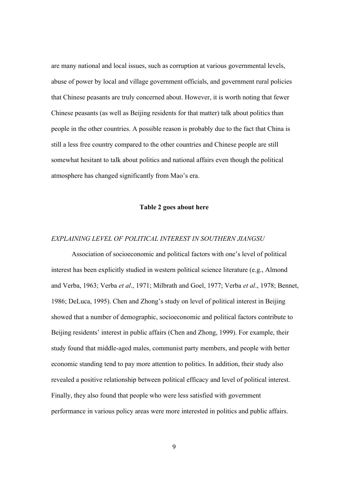are many national and local issues, such as corruption at various governmental levels, abuse of power by local and village government officials, and government rural policies that Chinese peasants are truly concerned about. However, it is worth noting that fewer Chinese peasants (as well as Beijing residents for that matter) talk about politics than people in the other countries. A possible reason is probably due to the fact that China is still a less free country compared to the other countries and Chinese people are still somewhat hesitant to talk about politics and national affairs even though the political atmosphere has changed significantly from Mao's era.

## **Table 2 goes about here**

#### *EXPLAINING LEVEL OF POLITICAL INTEREST IN SOUTHERN JIANGSU*

 Association of socioeconomic and political factors with one's level of political interest has been explicitly studied in western political science literature (e.g., Almond and Verba, 1963; Verba *et al*., 1971; Milbrath and Goel, 1977; Verba *et al*., 1978; Bennet, 1986; DeLuca, 1995). Chen and Zhong's study on level of political interest in Beijing showed that a number of demographic, socioeconomic and political factors contribute to Beijing residents' interest in public affairs (Chen and Zhong, 1999). For example, their study found that middle-aged males, communist party members, and people with better economic standing tend to pay more attention to politics. In addition, their study also revealed a positive relationship between political efficacy and level of political interest. Finally, they also found that people who were less satisfied with government performance in various policy areas were more interested in politics and public affairs.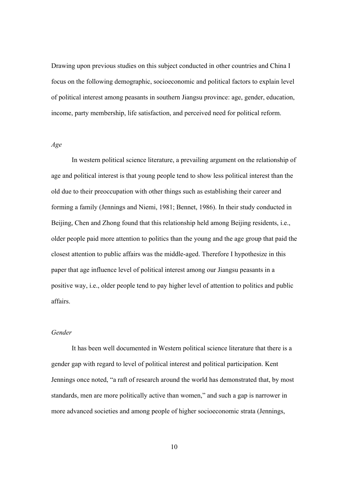Drawing upon previous studies on this subject conducted in other countries and China I focus on the following demographic, socioeconomic and political factors to explain level of political interest among peasants in southern Jiangsu province: age, gender, education, income, party membership, life satisfaction, and perceived need for political reform.

## *Age*

 In western political science literature, a prevailing argument on the relationship of age and political interest is that young people tend to show less political interest than the old due to their preoccupation with other things such as establishing their career and forming a family (Jennings and Niemi, 1981; Bennet, 1986). In their study conducted in Beijing, Chen and Zhong found that this relationship held among Beijing residents, i.e., older people paid more attention to politics than the young and the age group that paid the closest attention to public affairs was the middle-aged. Therefore I hypothesize in this paper that age influence level of political interest among our Jiangsu peasants in a positive way, i.e., older people tend to pay higher level of attention to politics and public affairs.

# *Gender*

 It has been well documented in Western political science literature that there is a gender gap with regard to level of political interest and political participation. Kent Jennings once noted, "a raft of research around the world has demonstrated that, by most standards, men are more politically active than women," and such a gap is narrower in more advanced societies and among people of higher socioeconomic strata (Jennings,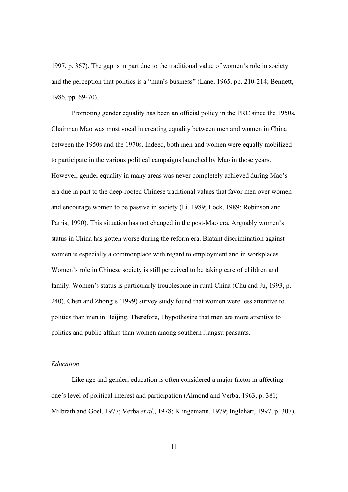1997, p. 367). The gap is in part due to the traditional value of women's role in society and the perception that politics is a "man's business" (Lane, 1965, pp. 210-214; Bennett, 1986, pp. 69-70).

Promoting gender equality has been an official policy in the PRC since the 1950s. Chairman Mao was most vocal in creating equality between men and women in China between the 1950s and the 1970s. Indeed, both men and women were equally mobilized to participate in the various political campaigns launched by Mao in those years. However, gender equality in many areas was never completely achieved during Mao's era due in part to the deep-rooted Chinese traditional values that favor men over women and encourage women to be passive in society (Li, 1989; Lock, 1989; Robinson and Parris, 1990). This situation has not changed in the post-Mao era. Arguably women's status in China has gotten worse during the reform era. Blatant discrimination against women is especially a commonplace with regard to employment and in workplaces. Women's role in Chinese society is still perceived to be taking care of children and family. Women's status is particularly troublesome in rural China (Chu and Ju, 1993, p. 240). Chen and Zhong's (1999) survey study found that women were less attentive to politics than men in Beijing. Therefore, I hypothesize that men are more attentive to politics and public affairs than women among southern Jiangsu peasants.

### *Education*

 Like age and gender, education is often considered a major factor in affecting one's level of political interest and participation (Almond and Verba, 1963, p. 381; Milbrath and Goel, 1977; Verba *et al*., 1978; Klingemann, 1979; Inglehart, 1997, p. 307).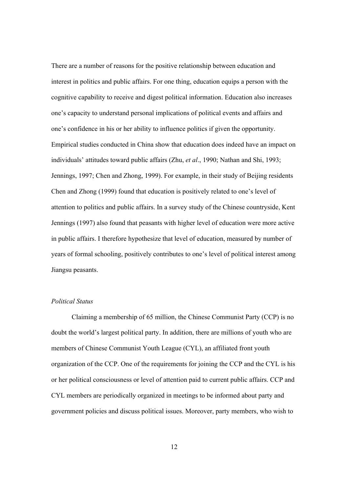There are a number of reasons for the positive relationship between education and interest in politics and public affairs. For one thing, education equips a person with the cognitive capability to receive and digest political information. Education also increases one's capacity to understand personal implications of political events and affairs and one's confidence in his or her ability to influence politics if given the opportunity. Empirical studies conducted in China show that education does indeed have an impact on individuals' attitudes toward public affairs (Zhu, *et al*., 1990; Nathan and Shi, 1993; Jennings, 1997; Chen and Zhong, 1999). For example, in their study of Beijing residents Chen and Zhong (1999) found that education is positively related to one's level of attention to politics and public affairs. In a survey study of the Chinese countryside, Kent Jennings (1997) also found that peasants with higher level of education were more active in public affairs. I therefore hypothesize that level of education, measured by number of years of formal schooling, positively contributes to one's level of political interest among Jiangsu peasants.

#### *Political Status*

 Claiming a membership of 65 million, the Chinese Communist Party (CCP) is no doubt the world's largest political party. In addition, there are millions of youth who are members of Chinese Communist Youth League (CYL), an affiliated front youth organization of the CCP. One of the requirements for joining the CCP and the CYL is his or her political consciousness or level of attention paid to current public affairs. CCP and CYL members are periodically organized in meetings to be informed about party and government policies and discuss political issues. Moreover, party members, who wish to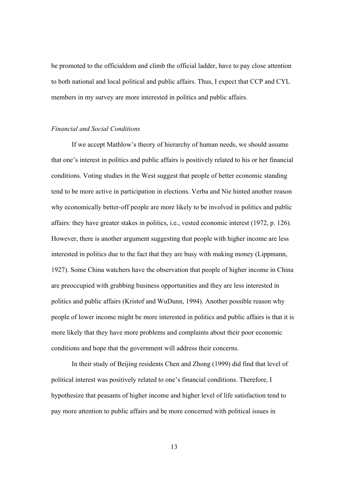be promoted to the officialdom and climb the official ladder, have to pay close attention to both national and local political and public affairs. Thus, I expect that CCP and CYL members in my survey are more interested in politics and public affairs.

## *Financial and Social Conditions*

 If we accept Mathlow's theory of hierarchy of human needs, we should assume that one's interest in politics and public affairs is positively related to his or her financial conditions. Voting studies in the West suggest that people of better economic standing tend to be more active in participation in elections. Verba and Nie hinted another reason why economically better-off people are more likely to be involved in politics and public affairs: they have greater stakes in politics, i.e., vested economic interest (1972, p. 126). However, there is another argument suggesting that people with higher income are less interested in politics due to the fact that they are busy with making money (Lippmann, 1927). Some China watchers have the observation that people of higher income in China are preoccupied with grabbing business opportunities and they are less interested in politics and public affairs (Kristof and WuDunn, 1994). Another possible reason why people of lower income might be more interested in politics and public affairs is that it is more likely that they have more problems and complaints about their poor economic conditions and hope that the government will address their concerns.

 In their study of Beijing residents Chen and Zhong (1999) did find that level of political interest was positively related to one's financial conditions. Therefore, I hypothesize that peasants of higher income and higher level of life satisfaction tend to pay more attention to public affairs and be more concerned with political issues in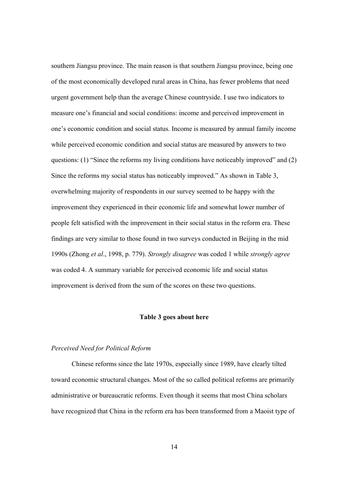southern Jiangsu province. The main reason is that southern Jiangsu province, being one of the most economically developed rural areas in China, has fewer problems that need urgent government help than the average Chinese countryside. I use two indicators to measure one's financial and social conditions: income and perceived improvement in one's economic condition and social status. Income is measured by annual family income while perceived economic condition and social status are measured by answers to two questions: (1) "Since the reforms my living conditions have noticeably improved" and (2) Since the reforms my social status has noticeably improved." As shown in Table 3, overwhelming majority of respondents in our survey seemed to be happy with the improvement they experienced in their economic life and somewhat lower number of people felt satisfied with the improvement in their social status in the reform era. These findings are very similar to those found in two surveys conducted in Beijing in the mid 1990s (Zhong *et al*., 1998, p. 779). *Strongly disagree* was coded 1 while *strongly agree* was coded 4. A summary variable for perceived economic life and social status improvement is derived from the sum of the scores on these two questions.

## **Table 3 goes about here**

#### *Perceived Need for Political Reform*

 Chinese reforms since the late 1970s, especially since 1989, have clearly tilted toward economic structural changes. Most of the so called political reforms are primarily administrative or bureaucratic reforms. Even though it seems that most China scholars have recognized that China in the reform era has been transformed from a Maoist type of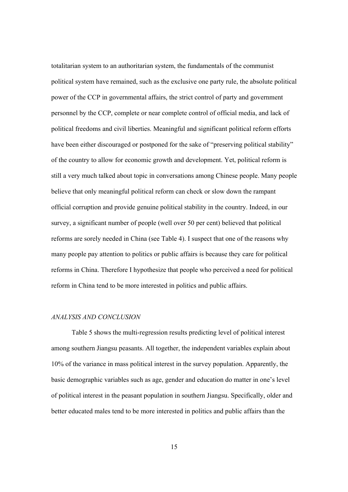totalitarian system to an authoritarian system, the fundamentals of the communist political system have remained, such as the exclusive one party rule, the absolute political power of the CCP in governmental affairs, the strict control of party and government personnel by the CCP, complete or near complete control of official media, and lack of political freedoms and civil liberties. Meaningful and significant political reform efforts have been either discouraged or postponed for the sake of "preserving political stability" of the country to allow for economic growth and development. Yet, political reform is still a very much talked about topic in conversations among Chinese people. Many people believe that only meaningful political reform can check or slow down the rampant official corruption and provide genuine political stability in the country. Indeed, in our survey, a significant number of people (well over 50 per cent) believed that political reforms are sorely needed in China (see Table 4). I suspect that one of the reasons why many people pay attention to politics or public affairs is because they care for political reforms in China. Therefore I hypothesize that people who perceived a need for political reform in China tend to be more interested in politics and public affairs.

# *ANALYSIS AND CONCLUSION*

 Table 5 shows the multi-regression results predicting level of political interest among southern Jiangsu peasants. All together, the independent variables explain about 10% of the variance in mass political interest in the survey population. Apparently, the basic demographic variables such as age, gender and education do matter in one's level of political interest in the peasant population in southern Jiangsu. Specifically, older and better educated males tend to be more interested in politics and public affairs than the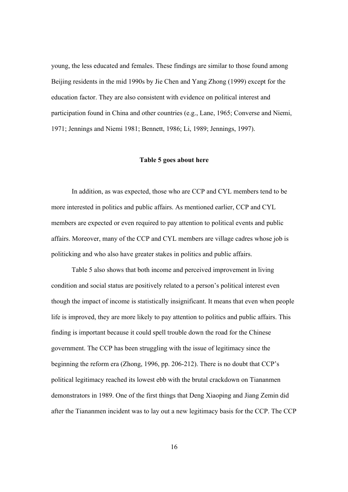young, the less educated and females. These findings are similar to those found among Beijing residents in the mid 1990s by Jie Chen and Yang Zhong (1999) except for the education factor. They are also consistent with evidence on political interest and participation found in China and other countries (e.g., Lane, 1965; Converse and Niemi, 1971; Jennings and Niemi 1981; Bennett, 1986; Li, 1989; Jennings, 1997).

#### **Table 5 goes about here**

In addition, as was expected, those who are CCP and CYL members tend to be more interested in politics and public affairs. As mentioned earlier, CCP and CYL members are expected or even required to pay attention to political events and public affairs. Moreover, many of the CCP and CYL members are village cadres whose job is politicking and who also have greater stakes in politics and public affairs.

Table 5 also shows that both income and perceived improvement in living condition and social status are positively related to a person's political interest even though the impact of income is statistically insignificant. It means that even when people life is improved, they are more likely to pay attention to politics and public affairs. This finding is important because it could spell trouble down the road for the Chinese government. The CCP has been struggling with the issue of legitimacy since the beginning the reform era (Zhong, 1996, pp. 206-212). There is no doubt that CCP's political legitimacy reached its lowest ebb with the brutal crackdown on Tiananmen demonstrators in 1989. One of the first things that Deng Xiaoping and Jiang Zemin did after the Tiananmen incident was to lay out a new legitimacy basis for the CCP. The CCP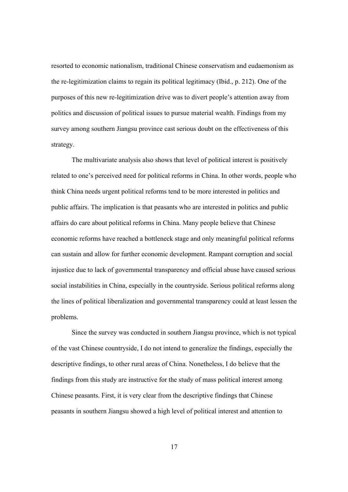resorted to economic nationalism, traditional Chinese conservatism and eudaemonism as the re-legitimization claims to regain its political legitimacy (Ibid., p. 212). One of the purposes of this new re-legitimization drive was to divert people's attention away from politics and discussion of political issues to pursue material wealth. Findings from my survey among southern Jiangsu province cast serious doubt on the effectiveness of this strategy.

The multivariate analysis also shows that level of political interest is positively related to one's perceived need for political reforms in China. In other words, people who think China needs urgent political reforms tend to be more interested in politics and public affairs. The implication is that peasants who are interested in politics and public affairs do care about political reforms in China. Many people believe that Chinese economic reforms have reached a bottleneck stage and only meaningful political reforms can sustain and allow for further economic development. Rampant corruption and social injustice due to lack of governmental transparency and official abuse have caused serious social instabilities in China, especially in the countryside. Serious political reforms along the lines of political liberalization and governmental transparency could at least lessen the problems.

Since the survey was conducted in southern Jiangsu province, which is not typical of the vast Chinese countryside, I do not intend to generalize the findings, especially the descriptive findings, to other rural areas of China. Nonetheless, I do believe that the findings from this study are instructive for the study of mass political interest among Chinese peasants. First, it is very clear from the descriptive findings that Chinese peasants in southern Jiangsu showed a high level of political interest and attention to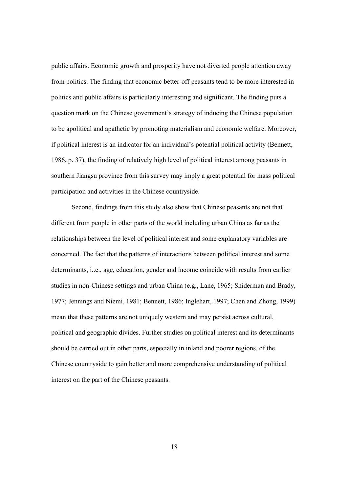public affairs. Economic growth and prosperity have not diverted people attention away from politics. The finding that economic better-off peasants tend to be more interested in politics and public affairs is particularly interesting and significant. The finding puts a question mark on the Chinese government's strategy of inducing the Chinese population to be apolitical and apathetic by promoting materialism and economic welfare. Moreover, if political interest is an indicator for an individual's potential political activity (Bennett, 1986, p. 37), the finding of relatively high level of political interest among peasants in southern Jiangsu province from this survey may imply a great potential for mass political participation and activities in the Chinese countryside.

Second, findings from this study also show that Chinese peasants are not that different from people in other parts of the world including urban China as far as the relationships between the level of political interest and some explanatory variables are concerned. The fact that the patterns of interactions between political interest and some determinants, i..e., age, education, gender and income coincide with results from earlier studies in non-Chinese settings and urban China (e.g., Lane, 1965; Sniderman and Brady, 1977; Jennings and Niemi, 1981; Bennett, 1986; Inglehart, 1997; Chen and Zhong, 1999) mean that these patterns are not uniquely western and may persist across cultural, political and geographic divides. Further studies on political interest and its determinants should be carried out in other parts, especially in inland and poorer regions, of the Chinese countryside to gain better and more comprehensive understanding of political interest on the part of the Chinese peasants.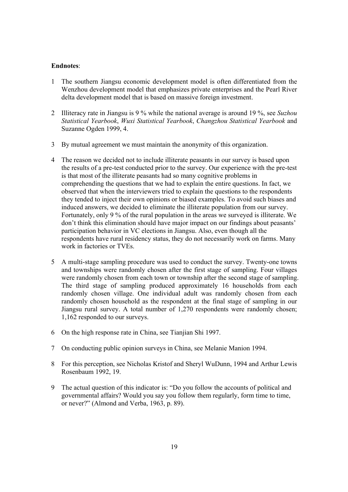### **Endnotes**:

- 1 The southern Jiangsu economic development model is often differentiated from the Wenzhou development model that emphasizes private enterprises and the Pearl River delta development model that is based on massive foreign investment.
- 2 Illiteracy rate in Jiangsu is 9 % while the national average is around 19 %, see *Suzhou Statistical Yearbook*, *Wuxi Statistical Yearbook*, *Changzhou Statistical Yearbook* and Suzanne Ogden 1999, 4.
- 3 By mutual agreement we must maintain the anonymity of this organization.
- 4 The reason we decided not to include illiterate peasants in our survey is based upon the results of a pre-test conducted prior to the survey. Our experience with the pre-test is that most of the illiterate peasants had so many cognitive problems in comprehending the questions that we had to explain the entire questions. In fact, we observed that when the interviewers tried to explain the questions to the respondents they tended to inject their own opinions or biased examples. To avoid such biases and induced answers, we decided to eliminate the illiterate population from our survey. Fortunately, only 9 % of the rural population in the areas we surveyed is illiterate. We don't think this elimination should have major impact on our findings about peasants' participation behavior in VC elections in Jiangsu. Also, even though all the respondents have rural residency status, they do not necessarily work on farms. Many work in factories or TVEs.
- 5 A multi-stage sampling procedure was used to conduct the survey. Twenty-one towns and townships were randomly chosen after the first stage of sampling. Four villages were randomly chosen from each town or township after the second stage of sampling. The third stage of sampling produced approximately 16 households from each randomly chosen village. One individual adult was randomly chosen from each randomly chosen household as the respondent at the final stage of sampling in our Jiangsu rural survey. A total number of 1,270 respondents were randomly chosen; 1,162 responded to our surveys.
- 6 On the high response rate in China, see Tianjian Shi 1997.
- 7 On conducting public opinion surveys in China, see Melanie Manion 1994.
- 8 For this perception, see Nicholas Kristof and Sheryl WuDunn, 1994 and Arthur Lewis Rosenbaum 1992, 19.
- 9 The actual question of this indicator is: "Do you follow the accounts of political and governmental affairs? Would you say you follow them regularly, form time to time, or never?" (Almond and Verba, 1963, p. 89).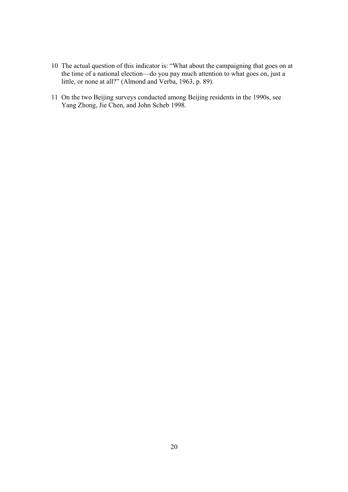- 10 The actual question of this indicator is: "What about the campaigning that goes on at the time of a national election—do you pay much attention to what goes on, just a little, or none at all?" (Almond and Verba, 1963, p. 89).
- 11 On the two Beijing surveys conducted among Beijing residents in the 1990s, see Yang Zhong, Jie Chen, and John Scheb 1998.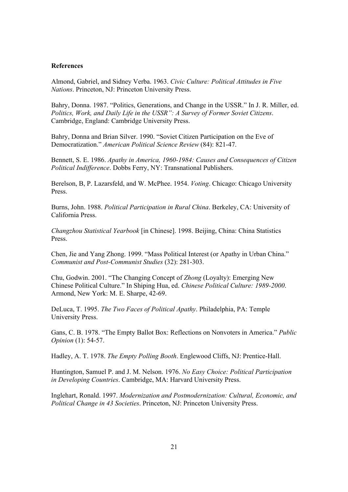## **References**

Almond, Gabriel, and Sidney Verba. 1963. *Civic Culture: Political Attitudes in Five Nations*. Princeton, NJ: Princeton University Press.

Bahry, Donna. 1987. "Politics, Generations, and Change in the USSR." In J. R. Miller, ed. *Politics, Work, and Daily Life in the USSR": A Survey of Former Soviet Citizens*. Cambridge, England: Cambridge University Press.

Bahry, Donna and Brian Silver. 1990. "Soviet Citizen Participation on the Eve of Democratization." *American Political Science Review* (84): 821-47.

Bennett, S. E. 1986. *Apathy in America, 1960-1984: Causes and Consequences of Citizen Political Indifference*. Dobbs Ferry, NY: Transnational Publishers.

Berelson, B, P. Lazarsfeld, and W. McPhee. 1954. *Voting*. Chicago: Chicago University Press.

Burns, John. 1988. *Political Participation in Rural China*. Berkeley, CA: University of California Press.

*Changzhou Statistical Yearbook* [in Chinese]. 1998. Beijing, China: China Statistics Press.

Chen, Jie and Yang Zhong. 1999. "Mass Political Interest (or Apathy in Urban China." *Communist and Post-Communist Studies* (32): 281-303.

Chu, Godwin. 2001. "The Changing Concept of *Zhong* (Loyalty): Emerging New Chinese Political Culture." In Shiping Hua, ed. *Chinese Political Culture: 1989-2000*. Armond, New York: M. E. Sharpe, 42-69.

DeLuca, T. 1995. *The Two Faces of Political Apathy*. Philadelphia, PA: Temple University Press.

Gans, C. B. 1978. "The Empty Ballot Box: Reflections on Nonvoters in America." *Public Opinion* (1): 54-57.

Hadley, A. T. 1978. *The Empty Polling Booth*. Englewood Cliffs, NJ: Prentice-Hall.

Huntington, Samuel P. and J. M. Nelson. 1976. *No Easy Choice: Political Participation in Developing Countries*. Cambridge, MA: Harvard University Press.

Inglehart, Ronald. 1997. *Modernization and Postmodernization: Cultural, Economic, and Political Change in 43 Societies*. Princeton, NJ: Princeton University Press.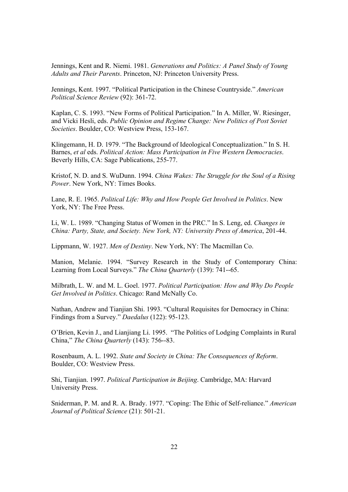Jennings, Kent and R. Niemi. 1981. *Generations and Politics: A Panel Study of Young Adults and Their Parents*. Princeton, NJ: Princeton University Press.

Jennings, Kent. 1997. "Political Participation in the Chinese Countryside." *American Political Science Review* (92): 361-72.

Kaplan, C. S. 1993. "New Forms of Political Participation." In A. Miller, W. Riesinger, and Vicki Hesli, eds. *Public Opinion and Regime Change: New Politics of Post Soviet Societies*. Boulder, CO: Westview Press, 153-167.

Klingemann, H. D. 1979. "The Background of Ideological Conceptualization." In S. H. Barnes, *et al* eds. *Political Action: Mass Participation in Five Western Democracies*. Beverly Hills, CA: Sage Publications, 255-77.

Kristof, N. D. and S. WuDunn. 1994. *China Wakes: The Struggle for the Soul of a Rising Power*. New York, NY: Times Books.

Lane, R. E. 1965. *Political Life: Why and How People Get Involved in Politics*. New York, NY: The Free Press.

Li, W. L. 1989. "Changing Status of Women in the PRC." In S. Leng, ed. *Changes in China: Party, State, and Society. New York, NY: University Press of America*, 201-44.

Lippmann, W. 1927. *Men of Destiny*. New York, NY: The Macmillan Co.

Manion, Melanie. 1994. "Survey Research in the Study of Contemporary China: Learning from Local Surveys." *The China Quarterly* (139): 741--65.

Milbrath, L. W. and M. L. Goel. 1977. *Political Participation: How and Why Do People Get Involved in Politics*. Chicago: Rand McNally Co.

Nathan, Andrew and Tianjian Shi. 1993. "Cultural Requisites for Democracy in China: Findings from a Survey." *Daedalus* (122): 95-123.

O'Brien, Kevin J., and Lianjiang Li. 1995. "The Politics of Lodging Complaints in Rural China," *The China Quarterly* (143): 756--83.

Rosenbaum, A. L. 1992. *State and Society in China: The Consequences of Reform*. Boulder, CO: Westview Press.

Shi, Tianjian. 1997. *Political Participation in Beijing*. Cambridge, MA: Harvard University Press.

Sniderman, P. M. and R. A. Brady. 1977. "Coping: The Ethic of Self-reliance." *American Journal of Political Science* (21): 501-21.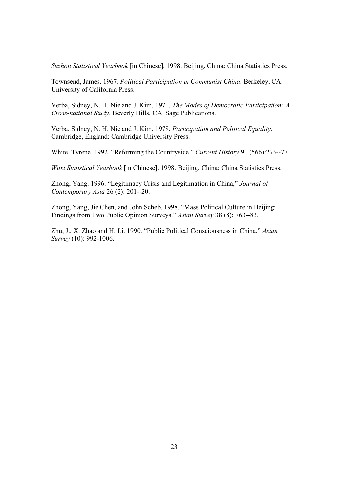*Suzhou Statistical Yearbook* [in Chinese]. 1998. Beijing, China: China Statistics Press.

Townsend, James. 1967. *Political Participation in Communist China*. Berkeley, CA: University of California Press.

Verba, Sidney, N. H. Nie and J. Kim. 1971. *The Modes of Democratic Participation: A Cross-national Study*. Beverly Hills, CA: Sage Publications.

Verba, Sidney, N. H. Nie and J. Kim. 1978. *Participation and Political Equality*. Cambridge, England: Cambridge University Press.

White, Tyrene. 1992. "Reforming the Countryside," *Current History* 91 (566):273--77

*Wuxi Statistical Yearbook* [in Chinese]. 1998. Beijing, China: China Statistics Press.

Zhong, Yang. 1996. "Legitimacy Crisis and Legitimation in China," *Journal of Contemporary Asia* 26 (2): 201--20.

Zhong, Yang, Jie Chen, and John Scheb. 1998. "Mass Political Culture in Beijing: Findings from Two Public Opinion Surveys." *Asian Survey* 38 (8): 763--83.

Zhu, J., X. Zhao and H. Li. 1990. "Public Political Consciousness in China." *Asian Survey* (10): 992-1006.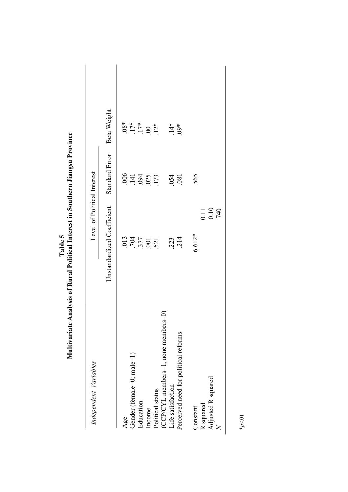| Independent Variables                | Level of Political Interest                                |                          |                                       |
|--------------------------------------|------------------------------------------------------------|--------------------------|---------------------------------------|
|                                      | Unstandardized Coefficient                                 | Standard Error           | Beta Weight                           |
| Age                                  |                                                            |                          |                                       |
| Gender (female=0; male=1)            | $\begin{array}{c} 013 \\ 704 \\ 377 \\ 001 \\ \end{array}$ | 006<br>141<br>173<br>173 | $.08*$<br>$.17*$<br>$.17*$<br>$.100*$ |
| Education                            |                                                            |                          |                                       |
| Income                               |                                                            |                          |                                       |
| Political status                     |                                                            |                          |                                       |
| (CCP/CYL members=1, none members=0)  |                                                            |                          |                                       |
| Life satisfaction                    |                                                            |                          |                                       |
| Perceived need for political reforms | 223<br>214                                                 | 054<br>081               | $.14*$                                |
| Constant                             | $6.612*$                                                   | 565                      |                                       |
|                                      |                                                            |                          |                                       |
| R squared<br>Adjusted R squared      | $\begin{array}{c} 0.11 \\ 0.10 \\ 740 \end{array}$         |                          |                                       |

Table 5<br>**Multivariate Analysis of Rural Political Interest in Southern Jiangsu Province Multivariate Analysis of Rural Political Interest in Southern Jiangsu Province**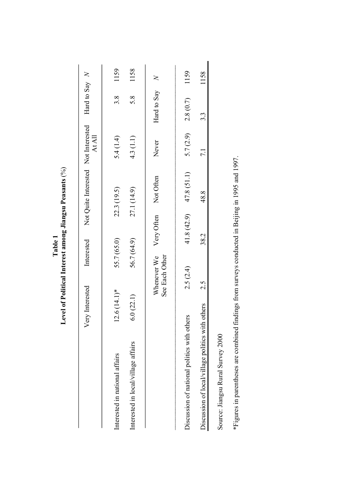|       | . Peasants        |
|-------|-------------------|
|       | t among Jiangsu F |
| Table |                   |
|       | Interest          |
|       | el of Politic?    |
|       | Leve<br>≓         |

|                                             | Very Interested | Interested                    |             | Not Quite Interested Not Interested | At All    | Hard to Say $N$ |      |
|---------------------------------------------|-----------------|-------------------------------|-------------|-------------------------------------|-----------|-----------------|------|
| Interested in national affairs              | $12.6(14.1)$ *  | 55.7 (65.0)                   |             | 22.3 (19.5)                         | 5.4 (1.4) | 3.8             | 1159 |
| Interested in local/village affairs         | 6.0(22.1)       | 56.7 (64.9)                   |             | 27.1 (14.9)                         | 4.3 (1.1) | 5.8             | 1158 |
|                                             |                 | See Each Other<br>Whenever We | Very Often  | Not Often                           | Never     | Hard to Say $N$ |      |
| Discussion of national politics with others |                 | 2.5(2.4)                      | 41.8 (42.9) | 47.8 (51.1)                         | 5.7(2.9)  | 2.8(0.7)        | 1159 |
| Discussion of local/village politics with   | others          | 2.5                           | 38.2        | 48.8                                | 7.1       | 3.3             | 1158 |
| Source: Jiangsu Rural Survey 2000           |                 |                               |             |                                     |           |                 |      |

\*Figures in parentheses are combined findings from surveys conducted in Beijing in 1995 and 1997. \*Figures in parentheses are combined findings from surveys conducted in Beijing in 1995 and 1997.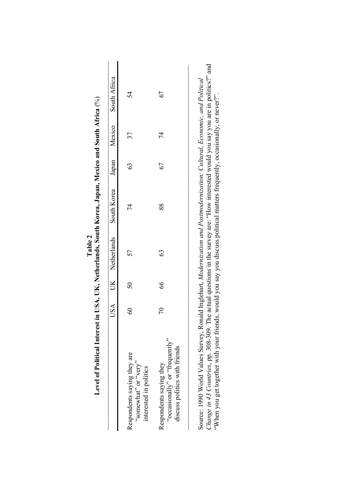|                                                                                            |            |             | USA UK Netherlands | South Korea | Japan |    | Mexico South Africa |
|--------------------------------------------------------------------------------------------|------------|-------------|--------------------|-------------|-------|----|---------------------|
| Respondents saying they are<br>"very" or "very"<br>interested in politics                  | $^{\circ}$ | 50          | 57                 | 74          | ගි    | 37 | 54                  |
| "occasionally" or "frequently"<br>discuss politics with friends<br>Respondents saying they | $\approx$  | $8^{\circ}$ | 63                 | 88          | 67    | 4  | 67                  |

**Table 2** 

Source: 1990 World Values Survey, Ronald Inglehart, Modernization and Postmodernization: Cultural, Economic, and Political<br>Change in 43 Countries, pp. 308-309. The actual questions in the survey are: "How interested would *Change in 43 Countries*, pp. 308-309. The actual questions in the survey are: "How interested would you say you are in politics?" and Source: 1990 World Values Survey, Ronald Inglehart, *Modernization and Postmodernization: Cultural, Economic, and Political*  "When you get together with your friends, would you say you discuss political matters frequently, occasionally, or never?".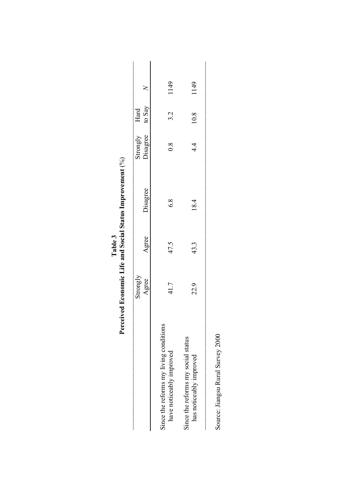|                                                                    |                   |       | Perceived Economic Life and Social Status Improvement (%) |                                  |      |      |
|--------------------------------------------------------------------|-------------------|-------|-----------------------------------------------------------|----------------------------------|------|------|
|                                                                    | Strongly<br>Agree | Agree | Disagree                                                  | Strongly Hard<br>Disagree to Say |      |      |
| Since the reforms my living conditions<br>have noticeably improved | 41.7              | 47.5  | $\frac{8}{9}$                                             | 0.8                              | 3.2  | 1149 |
| Since the reforms my social status<br>has noticeably improved      | 22.9              | 43.3  | 18.4                                                      | $4\overline{4}$                  | 10.8 | 1149 |
|                                                                    |                   |       |                                                           |                                  |      |      |

| Table 3 | rceived Economic Life and Social Status Improver |
|---------|--------------------------------------------------|
|         |                                                  |

Source: Jiangsu Rural Survey 2000 Source: Jiangsu Rural Survey 2000